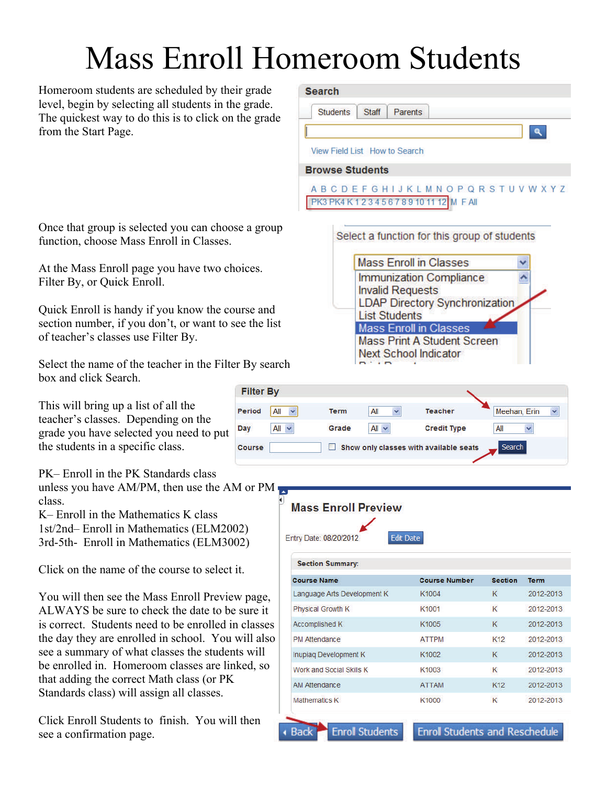# Mass Enroll Homeroom Students

Homeroom students are scheduled by their grade level, begin by selecting all students in the grade. The quickest way to do this is to click on the grade from the Start Page.

Once that group is selected you can choose a group function, choose Mass Enroll in Classes.

At the Mass Enroll page you have two choices. Filter By, or Quick Enroll.

Quick Enroll is handy if you know the course and section number, if you don't, or want to see the list of teacher's classes use Filter By.

Select the name of the teacher in the Filter By search box and click Search.

This will bring up a list of all the teacher's classes. Depending on the grade you have selected you need to put the students in a specific class.

PK– Enroll in the PK Standards class unless you have AM/PM, then use the AM or PM class.

K– Enroll in the Mathematics K class 1st/2nd– Enroll in Mathematics (ELM2002) 3rd-5th- Enroll in Mathematics (ELM3002)

Click on the name of the course to select it.

You will then see the Mass Enroll Preview page, ALWAYS be sure to check the date to be sure it is correct. Students need to be enrolled in classes the day they are enrolled in school. You will also see a summary of what classes the students will be enrolled in. Homeroom classes are linked, so that adding the correct Math class (or PK Standards class) will assign all classes.

Click Enroll Students to finish. You will then see a confirmation page.

#### **Search**

**Students Staff** Parents

 $\mathbf{a}$ 

#### View Field List How to Search

**Browse Students** 

**ABCDEFGHIJKLMNOPQRSTUVWXYZ** PK3 PK4 K 1 2 3 4 5 6 7 8 9 10 11 12 M F All



| <b>Filter By</b> |                    |             |            |                                        |              |
|------------------|--------------------|-------------|------------|----------------------------------------|--------------|
| <b>Period</b>    | All<br>$\ddotmark$ | <b>Term</b> | All        | <b>Teacher</b>                         | Meehan, Erin |
| Day              | All<br>×           | Grade       | All $\sim$ | <b>Credit Type</b>                     | All          |
| Course           |                    |             |            | Show only classes with available seats | Search       |

| Entry Date: 08/20/2012      | <b>Edit Date</b>     |                 |             |
|-----------------------------|----------------------|-----------------|-------------|
| <b>Section Summary:</b>     |                      |                 |             |
| <b>Course Name</b>          | <b>Course Number</b> | <b>Section</b>  | <b>Term</b> |
| Language Arts Development K | K1004                | к               | 2012-2013   |
| Physical Growth K           | K1001                | К               | 2012-2013   |
| <b>Accomplished K</b>       | K1005                | ĸ               | 2012-2013   |
| <b>PM Attendance</b>        | <b>ATTPM</b>         | K <sub>12</sub> | 2012-2013   |
| Inupiaq Development K       | K1002                | К               | 2012-2013   |
| Work and Social Skills K    | K1003                | К               | 2012-2013   |
| <b>AM Attendance</b>        | <b>ATTAM</b>         | K <sub>12</sub> | 2012-2013   |
| Mathematics K               | K1000                | K               | 2012-2013   |